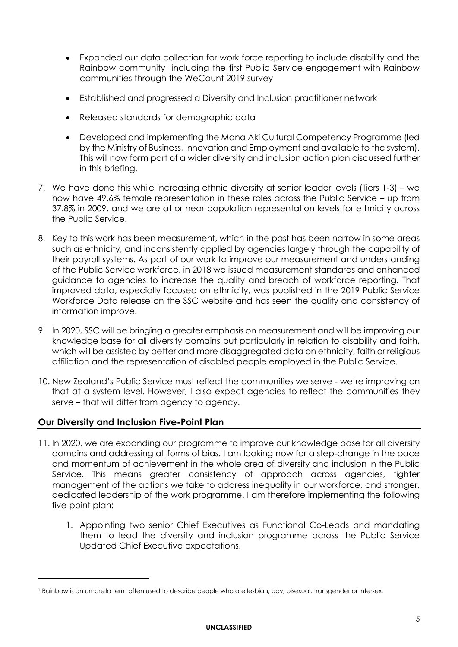- Expanded our data collection for work force reporting to include disability and the Rainbow community<sup>1</sup> including the first Public Service engagement with Rainbow communities through the WeCount 2019 survey
- Established and progressed a Diversity and Inclusion practitioner network
- Released standards for demographic data
- Developed and implementing the Mana Aki Cultural Competency Programme (led by the Ministry of Business, Innovation and Employment and available to the system). This will now form part of a wider diversity and inclusion action plan discussed further in this briefing.
- 7. We have done this while increasing ethnic diversity at senior leader levels (Tiers 1-3) we now have 49.6% female representation in these roles across the Public Service – up from 37.8% in 2009, and we are at or near population representation levels for ethnicity across the Public Service.
- 8. Key to this work has been measurement, which in the past has been narrow in some areas such as ethnicity, and inconsistently applied by agencies largely through the capability of their payroll systems. As part of our work to improve our measurement and understanding of the Public Service workforce, in 2018 we issued measurement standards and enhanced guidance to agencies to increase the quality and breach of workforce reporting. That improved data, especially focused on ethnicity, was published in the 2019 Public Service Workforce Data release on the SSC website and has seen the quality and consistency of information improve.
- 9. In 2020, SSC will be bringing a greater emphasis on measurement and will be improving our knowledge base for all diversity domains but particularly in relation to disability and faith, which will be assisted by better and more disaggregated data on ethnicity, faith or religious affiliation and the representation of disabled people employed in the Public Service.
- 10. New Zealand's Public Service must reflect the communities we serve we're improving on that at a system level. However, I also expect agencies to reflect the communities they serve – that will differ from agency to agency.

# **Our Diversity and Inclusion Five-Point Plan**

- 11. In 2020, we are expanding our programme to improve our knowledge base for all diversity domains and addressing all forms of bias. I am looking now for a step-change in the pace and momentum of achievement in the whole area of diversity and inclusion in the Public Service. This means greater consistency of approach across agencies, tighter management of the actions we take to address inequality in our workforce, and stronger, dedicated leadership of the work programme. I am therefore implementing the following five-point plan:
	- 1. Appointing two senior Chief Executives as Functional Co-Leads and mandating them to lead the diversity and inclusion programme across the Public Service Updated Chief Executive expectations.

### **UNCLASSIFIED**

<sup>1</sup> Rainbow is an umbrella term often used to describe people who are lesbian, gay, bisexual, transgender or intersex.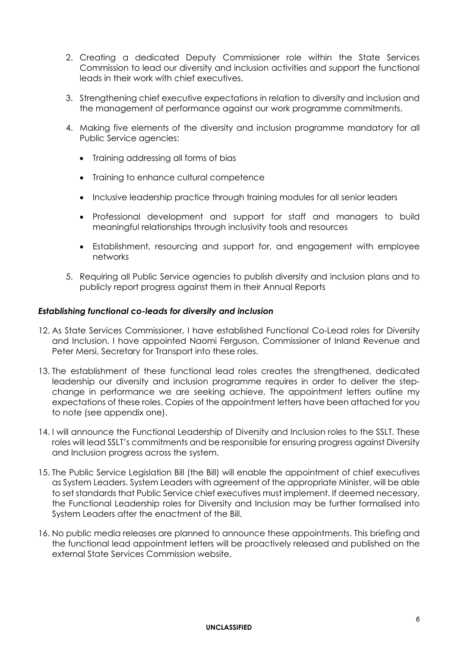- 2. Creating a dedicated Deputy Commissioner role within the State Services Commission to lead our diversity and inclusion activities and support the functional leads in their work with chief executives.
- 3. Strengthening chief executive expectations in relation to diversity and inclusion and the management of performance against our work programme commitments.
- 4. Making five elements of the diversity and inclusion programme mandatory for all Public Service agencies:
	- Training addressing all forms of bias
	- Training to enhance cultural competence
	- Inclusive leadership practice through training modules for all senior leaders
	- Professional development and support for staff and managers to build meaningful relationships through inclusivity tools and resources
	- Establishment, resourcing and support for, and engagement with employee networks
- 5. Requiring all Public Service agencies to publish diversity and inclusion plans and to publicly report progress against them in their Annual Reports

### *Establishing functional co-leads for diversity and inclusion*

- 12. As State Services Commissioner, I have established Functional Co-Lead roles for Diversity and Inclusion. I have appointed Naomi Ferguson, Commissioner of Inland Revenue and Peter Mersi, Secretary for Transport into these roles.
- 13. The establishment of these functional lead roles creates the strengthened, dedicated leadership our diversity and inclusion programme requires in order to deliver the stepchange in performance we are seeking achieve. The appointment letters outline my expectations of these roles. Copies of the appointment letters have been attached for you to note (see appendix one).
- 14. I will announce the Functional Leadership of Diversity and Inclusion roles to the SSLT. These roles will lead SSLT's commitments and be responsible for ensuring progress against Diversity and Inclusion progress across the system.
- 15. The Public Service Legislation Bill (the Bill) will enable the appointment of chief executives as System Leaders. System Leaders with agreement of the appropriate Minister, will be able to set standards that Public Service chief executives must implement. If deemed necessary, the Functional Leadership roles for Diversity and Inclusion may be further formalised into System Leaders after the enactment of the Bill.
- 16. No public media releases are planned to announce these appointments. This briefing and the functional lead appointment letters will be proactively released and published on the external State Services Commission website.

### **UNCLASSIFIED**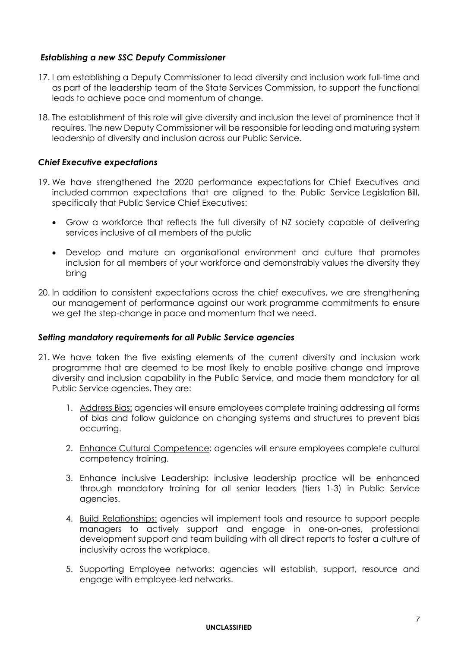# *Establishing a new SSC Deputy Commissioner*

- 17. I am establishing a Deputy Commissioner to lead diversity and inclusion work full-time and as part of the leadership team of the State Services Commission, to support the functional leads to achieve pace and momentum of change.
- 18. The establishment of this role will give diversity and inclusion the level of prominence that it requires. The new Deputy Commissioner will be responsible for leading and maturing system leadership of diversity and inclusion across our Public Service.

### *Chief Executive expectations*

- 19. We have strengthened the 2020 performance expectations for Chief Executives and included common expectations that are aligned to the Public Service Legislation Bill, specifically that Public Service Chief Executives:
	- Grow a workforce that reflects the full diversity of NZ society capable of delivering services inclusive of all members of the public
	- Develop and mature an organisational environment and culture that promotes inclusion for all members of your workforce and demonstrably values the diversity they bring
- 20. In addition to consistent expectations across the chief executives, we are strengthening our management of performance against our work programme commitments to ensure we get the step-change in pace and momentum that we need.

# *Setting mandatory requirements for all Public Service agencies*

- 21. We have taken the five existing elements of the current diversity and inclusion work programme that are deemed to be most likely to enable positive change and improve diversity and inclusion capability in the Public Service, and made them mandatory for all Public Service agencies. They are:
	- 1. Address Bias: agencies will ensure employees complete training addressing all forms of bias and follow guidance on changing systems and structures to prevent bias occurring.
	- 2. Enhance Cultural Competence: agencies will ensure employees complete cultural competency training.

3. Enhance inclusive Leadership: inclusive leadership practice will be enhanced through mandatory training for all senior leaders (tiers 1-3) in Public Service agencies.

- 4. Build Relationships: agencies will implement tools and resource to support people managers to actively support and engage in one-on-ones, professional development support and team building with all direct reports to foster a culture of inclusivity across the workplace.
- 5. Supporting Employee networks: agencies will establish, support, resource and engage with employee-led networks.

#### **UNCLASSIFIED**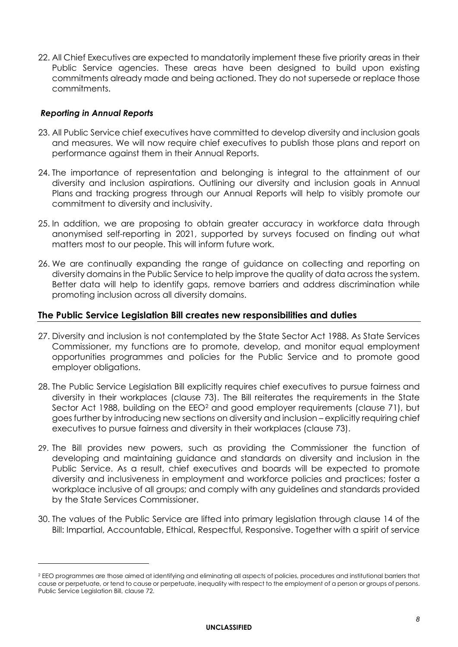22. All Chief Executives are expected to mandatorily implement these five priority areas in their Public Service agencies. These areas have been designed to build upon existing commitments already made and being actioned. They do not supersede or replace those commitments.

# *Reporting in Annual Reports*

- 23. All Public Service chief executives have committed to develop diversity and inclusion goals and measures. We will now require chief executives to publish those plans and report on performance against them in their Annual Reports.
- 24. The importance of representation and belonging is integral to the attainment of our diversity and inclusion aspirations. Outlining our diversity and inclusion goals in Annual Plans and tracking progress through our Annual Reports will help to visibly promote our commitment to diversity and inclusivity.
- 25. In addition, we are proposing to obtain greater accuracy in workforce data through anonymised self-reporting in 2021, supported by surveys focused on finding out what matters most to our people. This will inform future work.
- 26. We are continually expanding the range of guidance on collecting and reporting on diversity domains in the Public Service to help improve the quality of data across the system. Better data will help to identify gaps, remove barriers and address discrimination while promoting inclusion across all diversity domains.

# **The Public Service Legislation Bill creates new responsibilities and duties**

- 27. Diversity and inclusion is not contemplated by the State Sector Act 1988. As State Services Commissioner, my functions are to promote, develop, and monitor equal employment opportunities programmes and policies for the Public Service and to promote good employer obligations.
- 28. The Public Service Legislation Bill explicitly requires chief executives to pursue fairness and diversity in their workplaces (clause 73). The Bill reiterates the requirements in the State Sector Act 1988, building on the EEO<sup>2</sup> and good employer requirements (clause 71), but goes further by introducing new sections on diversity and inclusion – explicitly requiring chief executives to pursue fairness and diversity in their workplaces (clause 73).
- 29. The Bill provides new powers, such as providing the Commissioner the function of developing and maintaining guidance and standards on diversity and inclusion in the Public Service. As a result, chief executives and boards will be expected to promote diversity and inclusiveness in employment and workforce policies and practices; foster a workplace inclusive of all groups; and comply with any guidelines and standards provided by the State Services Commissioner.
- 30. The values of the Public Service are lifted into primary legislation through clause 14 of the Bill: Impartial, Accountable, Ethical, Respectful, Responsive. Together with a spirit of service

<sup>2</sup> EEO programmes are those aimed at identifying and eliminating all aspects of policies, procedures and institutional barriers that cause or perpetuate, or tend to cause or perpetuate, inequality with respect to the employment of a person or groups of persons. Public Service Legislation Bill, clause 72.